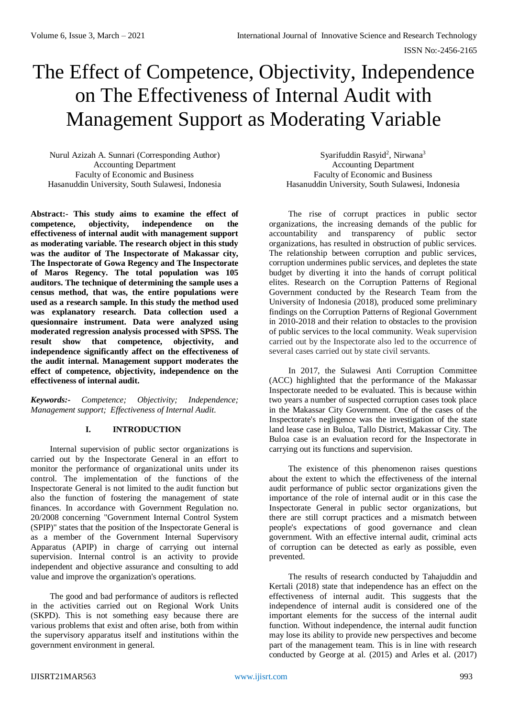# The Effect of Competence, Objectivity, Independence on The Effectiveness of Internal Audit with Management Support as Moderating Variable

Nurul Azizah A. Sunnari (Corresponding Author) Accounting Department Faculty of Economic and Business Hasanuddin University, South Sulawesi, Indonesia

**Abstract:- This study aims to examine the effect of competence, objectivity, independence on the effectiveness of internal audit with management support as moderating variable. The research object in this study was the auditor of The Inspectorate of Makassar city, The Inspectorate of Gowa Regency and The Inspectorate of Maros Regency. The total population was 105 auditors. The technique of determining the sample uses a census method, that was, the entire populations were used as a research sample. In this study the method used was explanatory research. Data collection used a quesionnaire instrument. Data were analyzed using moderated regression analysis processed with SPSS. The result show that competence, objectivity, and independence significantly affect on the effectiveness of the audit internal. Management support moderates the effect of competence, objectivity, independence on the effectiveness of internal audit.**

*Keywords:- Competence; Objectivity; Independence; Management support; Effectiveness of Internal Audit.*

#### **I. INTRODUCTION**

Internal supervision of public sector organizations is carried out by the Inspectorate General in an effort to monitor the performance of organizational units under its control. The implementation of the functions of the Inspectorate General is not limited to the audit function but also the function of fostering the management of state finances. In accordance with Government Regulation no. 20/2008 concerning "Government Internal Control System (SPIP)" states that the position of the Inspectorate General is as a member of the Government Internal Supervisory Apparatus (APIP) in charge of carrying out internal supervision. Internal control is an activity to provide independent and objective assurance and consulting to add value and improve the organization's operations.

The good and bad performance of auditors is reflected in the activities carried out on Regional Work Units (SKPD). This is not something easy because there are various problems that exist and often arise, both from within the supervisory apparatus itself and institutions within the government environment in general.

Syarifuddin Rasyid<sup>2</sup>, Nirwana<sup>3</sup> Accounting Department Faculty of Economic and Business Hasanuddin University, South Sulawesi, Indonesia

The rise of corrupt practices in public sector organizations, the increasing demands of the public for accountability and transparency of public sector organizations, has resulted in obstruction of public services. The relationship between corruption and public services, corruption undermines public services, and depletes the state budget by diverting it into the hands of corrupt political elites. Research on the Corruption Patterns of Regional Government conducted by the Research Team from the University of Indonesia (2018), produced some preliminary findings on the Corruption Patterns of Regional Government in 2010-2018 and their relation to obstacles to the provision of public services to the local community. Weak supervision carried out by the Inspectorate also led to the occurrence of several cases carried out by state civil servants.

In 2017, the Sulawesi Anti Corruption Committee (ACC) highlighted that the performance of the Makassar Inspectorate needed to be evaluated. This is because within two years a number of suspected corruption cases took place in the Makassar City Government. One of the cases of the Inspectorate's negligence was the investigation of the state land lease case in Buloa, Tallo District, Makassar City. The Buloa case is an evaluation record for the Inspectorate in carrying out its functions and supervision.

The existence of this phenomenon raises questions about the extent to which the effectiveness of the internal audit performance of public sector organizations given the importance of the role of internal audit or in this case the Inspectorate General in public sector organizations, but there are still corrupt practices and a mismatch between people's expectations of good governance and clean government. With an effective internal audit, criminal acts of corruption can be detected as early as possible, even prevented.

The results of research conducted by Tahajuddin and Kertali (2018) state that independence has an effect on the effectiveness of internal audit. This suggests that the independence of internal audit is considered one of the important elements for the success of the internal audit function. Without independence, the internal audit function may lose its ability to provide new perspectives and become part of the management team. This is in line with research conducted by George at al. (2015) and Arles et al. (2017)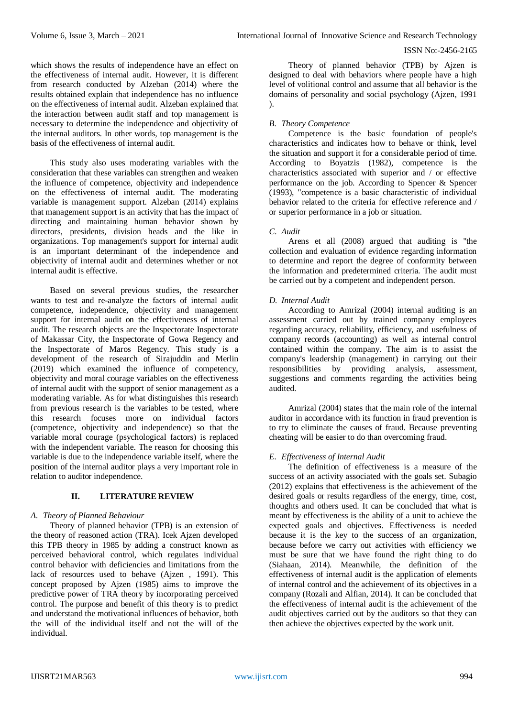which shows the results of independence have an effect on the effectiveness of internal audit. However, it is different from research conducted by Alzeban (2014) where the results obtained explain that independence has no influence on the effectiveness of internal audit. Alzeban explained that the interaction between audit staff and top management is necessary to determine the independence and objectivity of the internal auditors. In other words, top management is the basis of the effectiveness of internal audit.

This study also uses moderating variables with the consideration that these variables can strengthen and weaken the influence of competence, objectivity and independence on the effectiveness of internal audit. The moderating variable is management support. Alzeban (2014) explains that management support is an activity that has the impact of directing and maintaining human behavior shown by directors, presidents, division heads and the like in organizations. Top management's support for internal audit is an important determinant of the independence and objectivity of internal audit and determines whether or not internal audit is effective.

Based on several previous studies, the researcher wants to test and re-analyze the factors of internal audit competence, independence, objectivity and management support for internal audit on the effectiveness of internal audit. The research objects are the Inspectorate Inspectorate of Makassar City, the Inspectorate of Gowa Regency and the Inspectorate of Maros Regency. This study is a development of the research of Sirajuddin and Merlin (2019) which examined the influence of competency, objectivity and moral courage variables on the effectiveness of internal audit with the support of senior management as a moderating variable. As for what distinguishes this research from previous research is the variables to be tested, where this research focuses more on individual factors (competence, objectivity and independence) so that the variable moral courage (psychological factors) is replaced with the independent variable. The reason for choosing this variable is due to the independence variable itself, where the position of the internal auditor plays a very important role in relation to auditor independence.

# **II. LITERATURE REVIEW**

#### *A. Theory of Planned Behaviour*

Theory of planned behavior (TPB) is an extension of the theory of reasoned action (TRA). Icek Ajzen developed this TPB theory in 1985 by adding a construct known as perceived behavioral control, which regulates individual control behavior with deficiencies and limitations from the lack of resources used to behave (Ajzen , 1991). This concept proposed by Ajzen (1985) aims to improve the predictive power of TRA theory by incorporating perceived control. The purpose and benefit of this theory is to predict and understand the motivational influences of behavior, both the will of the individual itself and not the will of the individual.

Theory of planned behavior (TPB) by Ajzen is designed to deal with behaviors where people have a high level of volitional control and assume that all behavior is the domains of personality and social psychology (Ajzen, 1991 ).

## *B. Theory Competence*

Competence is the basic foundation of people's characteristics and indicates how to behave or think, level the situation and support it for a considerable period of time. According to Boyatzis (1982), competence is the characteristics associated with superior and / or effective performance on the job. According to Spencer & Spencer (1993), "competence is a basic characteristic of individual behavior related to the criteria for effective reference and / or superior performance in a job or situation.

#### *C. Audit*

Arens et all (2008) argued that auditing is "the collection and evaluation of evidence regarding information to determine and report the degree of conformity between the information and predetermined criteria. The audit must be carried out by a competent and independent person.

## *D. Internal Audit*

According to Amrizal (2004) internal auditing is an assessment carried out by trained company employees regarding accuracy, reliability, efficiency, and usefulness of company records (accounting) as well as internal control contained within the company. The aim is to assist the company's leadership (management) in carrying out their responsibilities by providing analysis, assessment, suggestions and comments regarding the activities being audited.

Amrizal (2004) states that the main role of the internal auditor in accordance with its function in fraud prevention is to try to eliminate the causes of fraud. Because preventing cheating will be easier to do than overcoming fraud.

## *E. Effectiveness of Internal Audit*

The definition of effectiveness is a measure of the success of an activity associated with the goals set. Subagio (2012) explains that effectiveness is the achievement of the desired goals or results regardless of the energy, time, cost, thoughts and others used. It can be concluded that what is meant by effectiveness is the ability of a unit to achieve the expected goals and objectives. Effectiveness is needed because it is the key to the success of an organization, because before we carry out activities with efficiency we must be sure that we have found the right thing to do (Siahaan, 2014). Meanwhile, the definition of the effectiveness of internal audit is the application of elements of internal control and the achievement of its objectives in a company (Rozali and Alfian, 2014). It can be concluded that the effectiveness of internal audit is the achievement of the audit objectives carried out by the auditors so that they can then achieve the objectives expected by the work unit.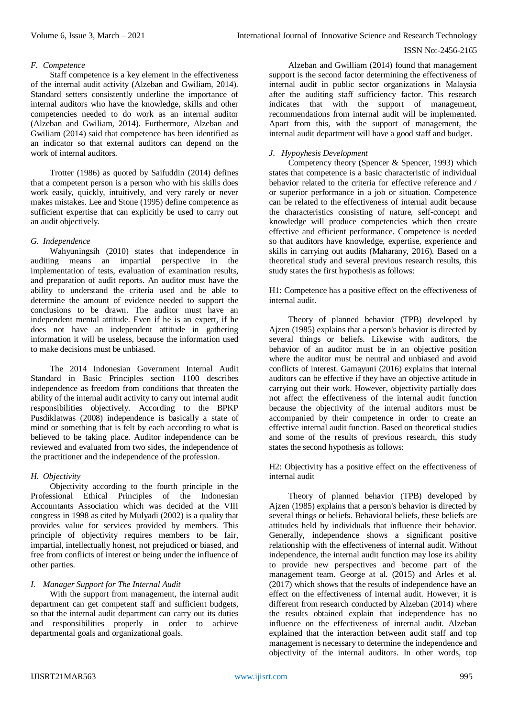## *F. Competence*

Staff competence is a key element in the effectiveness of the internal audit activity (Alzeban and Gwiliam, 2014). Standard setters consistently underline the importance of internal auditors who have the knowledge, skills and other competencies needed to do work as an internal auditor (Alzeban and Gwiliam, 2014). Furthermore, Alzeban and Gwiliam (2014) said that competence has been identified as an indicator so that external auditors can depend on the work of internal auditors.

Trotter (1986) as quoted by Saifuddin (2014) defines that a competent person is a person who with his skills does work easily, quickly, intuitively, and very rarely or never makes mistakes. Lee and Stone (1995) define competence as sufficient expertise that can explicitly be used to carry out an audit objectively.

## *G. Independence*

Wahyuningsih (2010) states that independence in auditing means an impartial perspective in the implementation of tests, evaluation of examination results, and preparation of audit reports. An auditor must have the ability to understand the criteria used and be able to determine the amount of evidence needed to support the conclusions to be drawn. The auditor must have an independent mental attitude. Even if he is an expert, if he does not have an independent attitude in gathering information it will be useless, because the information used to make decisions must be unbiased.

The 2014 Indonesian Government Internal Audit Standard in Basic Principles section 1100 describes independence as freedom from conditions that threaten the ability of the internal audit activity to carry out internal audit responsibilities objectively. According to the BPKP Pusdiklatwas (2008) independence is basically a state of mind or something that is felt by each according to what is believed to be taking place. Auditor independence can be reviewed and evaluated from two sides, the independence of the practitioner and the independence of the profession.

# *H. Objectivity*

Objectivity according to the fourth principle in the Professional Ethical Principles of the Indonesian Accountants Association which was decided at the VIII congress in 1998 as cited by Mulyadi (2002) is a quality that provides value for services provided by members. This principle of objectivity requires members to be fair, impartial, intellectually honest, not prejudiced or biased, and free from conflicts of interest or being under the influence of other parties.

# *I. Manager Support for The Internal Audit*

With the support from management, the internal audit department can get competent staff and sufficient budgets, so that the internal audit department can carry out its duties and responsibilities properly in order to achieve departmental goals and organizational goals.

Alzeban and Gwilliam (2014) found that management support is the second factor determining the effectiveness of internal audit in public sector organizations in Malaysia after the auditing staff sufficiency factor. This research indicates that with the support of management, recommendations from internal audit will be implemented. Apart from this, with the support of management, the internal audit department will have a good staff and budget.

# *J. Hypoyhesis Development*

Competency theory (Spencer & Spencer, 1993) which states that competence is a basic characteristic of individual behavior related to the criteria for effective reference and / or superior performance in a job or situation. Competence can be related to the effectiveness of internal audit because the characteristics consisting of nature, self-concept and knowledge will produce competencies which then create effective and efficient performance. Competence is needed so that auditors have knowledge, expertise, experience and skills in carrying out audits (Maharany, 2016). Based on a theoretical study and several previous research results, this study states the first hypothesis as follows:

H1: Competence has a positive effect on the effectiveness of internal audit.

Theory of planned behavior (TPB) developed by Ajzen (1985) explains that a person's behavior is directed by several things or beliefs. Likewise with auditors, the behavior of an auditor must be in an objective position where the auditor must be neutral and unbiased and avoid conflicts of interest. Gamayuni (2016) explains that internal auditors can be effective if they have an objective attitude in carrying out their work. However, objectivity partially does not affect the effectiveness of the internal audit function because the objectivity of the internal auditors must be accompanied by their competence in order to create an effective internal audit function. Based on theoretical studies and some of the results of previous research, this study states the second hypothesis as follows:

H2: Objectivity has a positive effect on the effectiveness of internal audit

Theory of planned behavior (TPB) developed by Ajzen (1985) explains that a person's behavior is directed by several things or beliefs. Behavioral beliefs, these beliefs are attitudes held by individuals that influence their behavior. Generally, independence shows a significant positive relationship with the effectiveness of internal audit. Without independence, the internal audit function may lose its ability to provide new perspectives and become part of the management team. George at al. (2015) and Arles et al. (2017) which shows that the results of independence have an effect on the effectiveness of internal audit. However, it is different from research conducted by Alzeban (2014) where the results obtained explain that independence has no influence on the effectiveness of internal audit. Alzeban explained that the interaction between audit staff and top management is necessary to determine the independence and objectivity of the internal auditors. In other words, top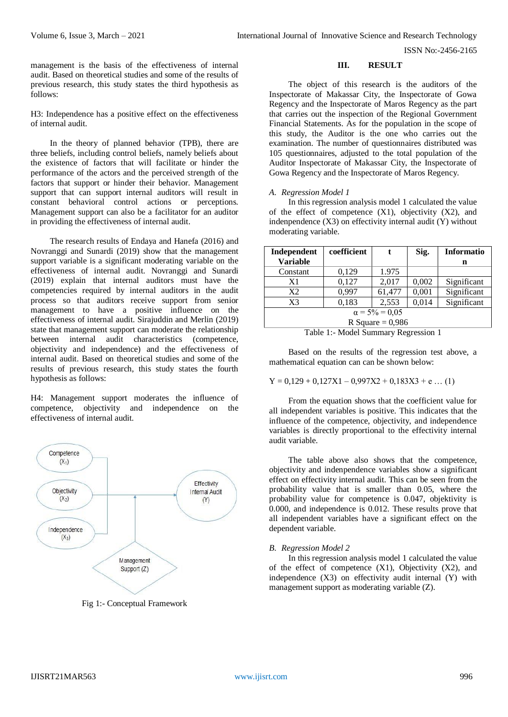management is the basis of the effectiveness of internal audit. Based on theoretical studies and some of the results of previous research, this study states the third hypothesis as follows:

H3: Independence has a positive effect on the effectiveness of internal audit.

In the theory of planned behavior (TPB), there are three beliefs, including control beliefs, namely beliefs about the existence of factors that will facilitate or hinder the performance of the actors and the perceived strength of the factors that support or hinder their behavior. Management support that can support internal auditors will result in constant behavioral control actions or perceptions. Management support can also be a facilitator for an auditor in providing the effectiveness of internal audit.

The research results of Endaya and Hanefa (2016) and Novranggi and Sunardi (2019) show that the management support variable is a significant moderating variable on the effectiveness of internal audit. Novranggi and Sunardi (2019) explain that internal auditors must have the competencies required by internal auditors in the audit process so that auditors receive support from senior management to have a positive influence on the effectiveness of internal audit. Sirajuddin and Merlin (2019) state that management support can moderate the relationship between internal audit characteristics (competence, objectivity and independence) and the effectiveness of internal audit. Based on theoretical studies and some of the results of previous research, this study states the fourth hypothesis as follows:

H4: Management support moderates the influence of competence, objectivity and independence on the effectiveness of internal audit.



Fig 1:- Conceptual Framework

#### **III. RESULT**

The object of this research is the auditors of the Inspectorate of Makassar City, the Inspectorate of Gowa Regency and the Inspectorate of Maros Regency as the part that carries out the inspection of the Regional Government Financial Statements. As for the population in the scope of this study, the Auditor is the one who carries out the examination. The number of questionnaires distributed was 105 questionnaires, adjusted to the total population of the Auditor Inspectorate of Makassar City, the Inspectorate of Gowa Regency and the Inspectorate of Maros Regency.

## *A. Regression Model 1*

In this regression analysis model 1 calculated the value of the effect of competence  $(X1)$ , objectivity  $(X2)$ , and indenpendence (X3) on effectivity internal audit (Y) without moderating variable.

| Independent                                    | coefficient |        | Sig.  | <b>Informatio</b> |  |  |  |
|------------------------------------------------|-------------|--------|-------|-------------------|--|--|--|
| <b>Variable</b>                                |             |        |       | n                 |  |  |  |
| Constant                                       | 0,129       | 1.975  |       |                   |  |  |  |
| X1                                             | 0,127       | 2,017  | 0,002 | Significant       |  |  |  |
| X2                                             | 0,997       | 61,477 | 0,001 | Significant       |  |  |  |
| X <sub>3</sub>                                 | 0,183       | 2,553  | 0,014 | Significant       |  |  |  |
| $\alpha = 5\% = 0.05$                          |             |        |       |                   |  |  |  |
| R Square = $0,986$                             |             |        |       |                   |  |  |  |
| $T_{\rm e}$ kla 1. Medal Gunungun Dagusasian 1 |             |        |       |                   |  |  |  |

Table 1:- Model Summary Regression 1

Based on the results of the regression test above, a mathematical equation can can be shown below:

$$
Y = 0,129 + 0,127X1 - 0,997X2 + 0,183X3 + e \dots (1)
$$

From the equation shows that the coefficient value for all independent variables is positive. This indicates that the influence of the competence, objectivity, and independence variables is directly proportional to the effectivity internal audit variable.

The table above also shows that the competence, objectivity and indenpendence variables show a significant effect on effectivity internal audit. This can be seen from the probability value that is smaller than 0.05, where the probability value for competence is 0.047, objektivity is 0.000, and independence is 0.012. These results prove that all independent variables have a significant effect on the dependent variable.

#### *B. Regression Model 2*

In this regression analysis model 1 calculated the value of the effect of competence  $(X1)$ , Objectivity  $(X2)$ , and independence (X3) on effectivity audit internal (Y) with management support as moderating variable (Z).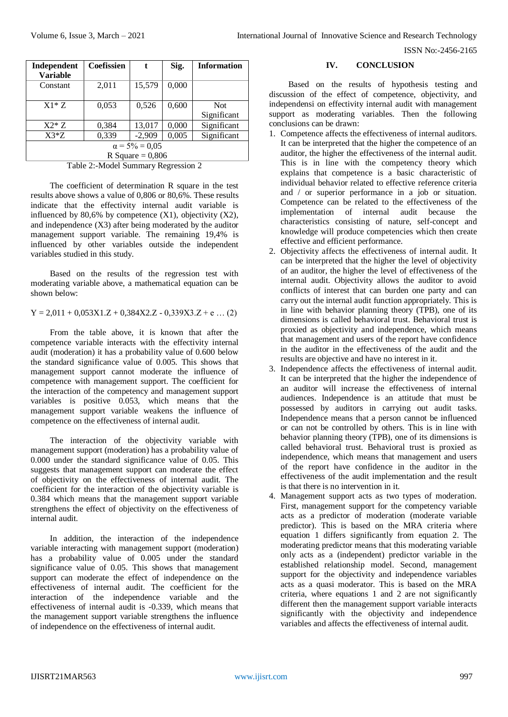| Independent<br><b>Variable</b>              | Coefissien | t        | Sig.  | <b>Information</b>        |  |  |
|---------------------------------------------|------------|----------|-------|---------------------------|--|--|
| Constant                                    | 2,011      | 15,579   | 0,000 |                           |  |  |
| $X1*Z$                                      | 0,053      | 0,526    | 0,600 | <b>Not</b><br>Significant |  |  |
| $X2*7$                                      | 0,384      | 13,017   | 0,000 | Significant               |  |  |
| $X3*Z$                                      | 0,339      | $-2,909$ | 0,005 | Significant               |  |  |
| $\alpha = 5\% = 0.05$<br>R Square = $0,806$ |            |          |       |                           |  |  |

Table 2:-Model Summary Regression 2

The coefficient of determination R square in the test results above shows a value of 0,806 or 80,6%. These results indicate that the effectivity internal audit variable is influenced by 80,6% by competence  $(X1)$ , objectivity  $(X2)$ , and independence (X3) after being moderated by the auditor management support variable. The remaining 19,4% is influenced by other variables outside the independent variables studied in this study.

Based on the results of the regression test with moderating variable above, a mathematical equation can be shown below:

# $Y = 2,011 + 0,053X1.Z + 0,384X2.Z - 0,339X3.Z + e ... (2)$

From the table above, it is known that after the competence variable interacts with the effectivity internal audit (moderation) it has a probability value of 0.600 below the standard significance value of 0.005. This shows that management support cannot moderate the influence of competence with management support. The coefficient for the interaction of the competency and management support variables is positive 0.053, which means that the management support variable weakens the influence of competence on the effectiveness of internal audit.

The interaction of the objectivity variable with management support (moderation) has a probability value of 0.000 under the standard significance value of 0.05. This suggests that management support can moderate the effect of objectivity on the effectiveness of internal audit. The coefficient for the interaction of the objectivity variable is 0.384 which means that the management support variable strengthens the effect of objectivity on the effectiveness of internal audit.

In addition, the interaction of the independence variable interacting with management support (moderation) has a probability value of 0.005 under the standard significance value of 0.05. This shows that management support can moderate the effect of independence on the effectiveness of internal audit. The coefficient for the interaction of the independence variable and the effectiveness of internal audit is -0.339, which means that the management support variable strengthens the influence of independence on the effectiveness of internal audit.

**IV. CONCLUSION**

Based on the results of hypothesis testing and discussion of the effect of competence, objectivity, and independensi on effectivity internal audit with management support as moderating variables. Then the following conclusions can be drawn:

- 1. Competence affects the effectiveness of internal auditors. It can be interpreted that the higher the competence of an auditor, the higher the effectiveness of the internal audit. This is in line with the competency theory which explains that competence is a basic characteristic of individual behavior related to effective reference criteria and / or superior performance in a job or situation. Competence can be related to the effectiveness of the implementation of internal audit because the characteristics consisting of nature, self-concept and knowledge will produce competencies which then create effective and efficient performance.
- 2. Objectivity affects the effectiveness of internal audit. It can be interpreted that the higher the level of objectivity of an auditor, the higher the level of effectiveness of the internal audit. Objectivity allows the auditor to avoid conflicts of interest that can burden one party and can carry out the internal audit function appropriately. This is in line with behavior planning theory (TPB), one of its dimensions is called behavioral trust. Behavioral trust is proxied as objectivity and independence, which means that management and users of the report have confidence in the auditor in the effectiveness of the audit and the results are objective and have no interest in it.
- 3. Independence affects the effectiveness of internal audit. It can be interpreted that the higher the independence of an auditor will increase the effectiveness of internal audiences. Independence is an attitude that must be possessed by auditors in carrying out audit tasks. Independence means that a person cannot be influenced or can not be controlled by others. This is in line with behavior planning theory (TPB), one of its dimensions is called behavioral trust. Behavioral trust is proxied as independence, which means that management and users of the report have confidence in the auditor in the effectiveness of the audit implementation and the result is that there is no intervention in it.
- 4. Management support acts as two types of moderation. First, management support for the competency variable acts as a predictor of moderation (moderate variable predictor). This is based on the MRA criteria where equation 1 differs significantly from equation 2. The moderating predictor means that this moderating variable only acts as a (independent) predictor variable in the established relationship model. Second, management support for the objectivity and independence variables acts as a quasi moderator. This is based on the MRA criteria, where equations 1 and 2 are not significantly different then the management support variable interacts significantly with the objectivity and independence variables and affects the effectiveness of internal audit.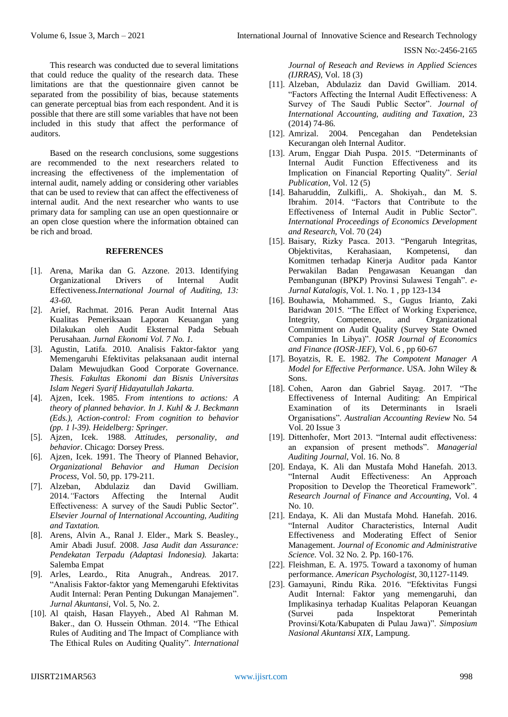This research was conducted due to several limitations that could reduce the quality of the research data. These limitations are that the questionnaire given cannot be separated from the possibility of bias, because statements can generate perceptual bias from each respondent. And it is possible that there are still some variables that have not been included in this study that affect the performance of auditors.

Based on the research conclusions, some suggestions are recommended to the next researchers related to increasing the effectiveness of the implementation of internal audit, namely adding or considering other variables that can be used to review that can affect the effectiveness of internal audit. And the next researcher who wants to use primary data for sampling can use an open questionnaire or an open close question where the information obtained can be rich and broad.

#### **REFERENCES**

- [1]. Arena, Marika dan G. Azzone. 2013. Identifying Organizational Drivers of Internal Audit Effectiveness*.International Journal of Auditing, 13: 43-60.*
- [2]. Arief, Rachmat. 2016. Peran Audit Internal Atas Kualitas Pemeriksaan Laporan Keuangan yang Dilakukan oleh Audit Eksternal Pada Sebuah Perusahaan*. Jurnal Ekonomi Vol. 7 No. 1.*
- [3]. Agustin, Latifa. 2010. Analisis Faktor-faktor yang Memengaruhi Efektivitas pelaksanaan audit internal Dalam Mewujudkan Good Corporate Governance. *Thesis. Fakultas Ekonomi dan Bisnis Universitas Islam Negeri Syarif Hidayatullah Jakarta.*
- [4]. Ajzen, Icek. 1985. *From intentions to actions: A theory of planned behavior. In J. Kuhl & J. Beckmann (Eds.), Action-control: From cognition to behavior (pp. 1 l-39). Heidelberg: Springer.*
- [5]. Ajzen, Icek. 1988. *Attitudes, personality, and behavior*. Chicago: Dorsey Press.
- [6]. Ajzen, Icek. 1991. The Theory of Planned Behavior, *Organizational Behavior and Human Decision Process*, Vol. 50, pp. 179-211.
- [7]. Alzeban, Abdulaziz dan David Gwilliam. 2014.*"*Factors Affecting the Internal Audit Effectiveness: A survey of the Saudi Public Sector". *Elsevier Journal of International Accounting, Auditing and Taxtation.*
- [8]. Arens, Alvin A., Ranal J. Elder., Mark S. Beasley., Amir Abadi Jusuf. 2008. *Jasa Audit dan Assurance: Pendekatan Terpadu (Adaptasi Indonesia).* Jakarta: Salemba Empat
- [9]. Arles, Leardo., Rita Anugrah., Andreas. 2017. "Analisis Faktor-faktor yang Memengaruhi Efektivitas Audit Internal: Peran Penting Dukungan Manajemen". *Jurnal Akuntansi*, Vol. 5, No. 2.
- [10]. Al qtaish, Hasan Flayyeh., Abed Al Rahman M. Baker., dan O. Hussein Othman. 2014. "The Ethical Rules of Auditing and The Impact of Compliance with The Ethical Rules on Auditing Quality". *International*

*Journal of Reseach and Reviews in Applied Sciences (IJRRAS)*, Vol. 18 (3)

- [11]. Alzeban, Abdulaziz dan David Gwilliam. 2014. "Factors Affecting the Internal Audit Effectiveness: A Survey of The Saudi Public Sector". *Journal of International Accounting, auditing and Taxation*, 23 (2014) 74-86.
- [12]. Amrizal. 2004. Pencegahan dan Pendeteksian Kecurangan oleh Internal Auditor.
- [13]. Arum, Enggar Diah Puspa. 2015. "Determinants of Internal Audit Function Effectiveness and its Implication on Financial Reporting Quality". *Serial Publication*, Vol. 12 (5)
- [14]. Baharuddin, Zulkifli,. A. Shokiyah., dan M. S. Ibrahim. 2014. "Factors that Contribute to the Effectiveness of Internal Audit in Public Sector". *International Proceedings of Economics Development and Research*, Vol. 70 (24)
- [15]. Baisary, Rizky Pasca. 2013. "Pengaruh Integritas, Objektivitas, Kerahasiaan, Kompetensi, dan Komitmen terhadap Kinerja Auditor pada Kantor Perwakilan Badan Pengawasan Keuangan dan Pembangunan (BPKP) Provinsi Sulawesi Tengah". *e-Jurnal Katalogis*, Vol. 1. No. 1 , pp 123-134
- [16]. Bouhawia, Mohammed. S., Gugus Irianto, Zaki Baridwan 2015. "The Effect of Working Experience, Integrity, Competence, and Organizational Commitment on Audit Quality (Survey State Owned Companies In Libya)". *IOSR Journal of Economics and Finance (IOSR-JEF)*, Vol. 6 , pp 60-67
- [17]. Boyatzis, R. E. 1982. *The Compotent Manager A Model for Effective Performance*. USA. John Wiley & Sons.
- [18]. Cohen, Aaron dan Gabriel Sayag. 2017. "The Effectiveness of Internal Auditing: An Empirical Examination of its Determinants in Israeli Organisations". *Australian Accounting Review* No. 54 Vol. 20 Issue 3
- [19]. Dittenhofer, Mort 2013. "Internal audit effectiveness: an expansion of present methods". *Managerial Auditing Journal*, Vol. 16. No. 8
- [20]. Endaya, K. Ali dan Mustafa Mohd Hanefah. 2013. "Internal Audit Effectiveness: An Approach Proposition to Develop the Theoretical Framework". *Research Journal of Finance and Accounting*, Vol. 4 No. 10.
- [21]. Endaya, K. Ali dan Mustafa Mohd. Hanefah. 2016. "Internal Auditor Characteristics, Internal Audit Effectiveness and Moderating Effect of Senior Management. *Journal of Economic and Administrative Science.* Vol. 32 No. 2. Pp. 160-176.
- [22]. Fleishman, E. A. 1975. Toward a taxonomy of human performance. *American Psychologist,* 30,1127-1149.
- [23]. Gamayuni, Rindu Rika. 2016. "Efektivitas Fungsi Audit Internal: Faktor yang memengaruhi, dan Implikasinya terhadap Kualitas Pelaporan Keuangan (Survei pada Inspektorat Pemerintah Provinsi/Kota/Kabupaten di Pulau Jawa)". *Simposium Nasional Akuntansi XIX*, Lampung.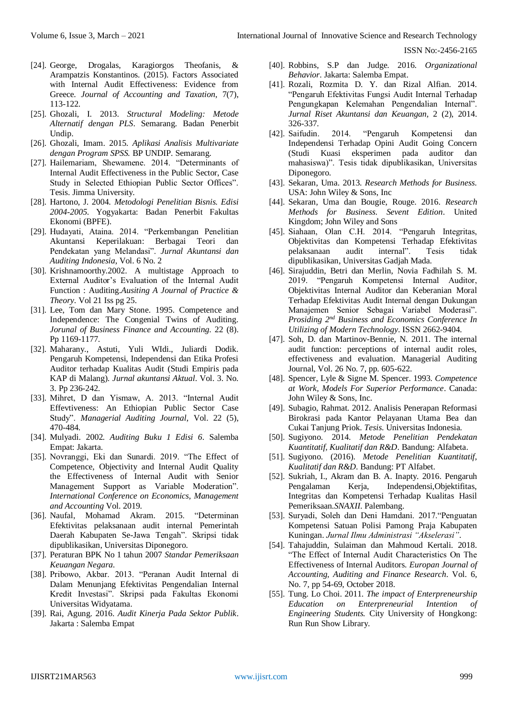- [24]. George, Drogalas, Karagiorgos Theofanis, & Arampatzis Konstantinos. (2015). Factors Associated with Internal Audit Effectiveness: Evidence from Greece. *Journal of Accounting and Taxation*, 7(7), 113-122.
- [25]. Ghozali, I. 2013. *Structural Modeling: Metode Alternatif dengan PLS*. Semarang. Badan Penerbit Undip.
- [26]. Ghozali, Imam. 2015. *Aplikasi Analisis Multivariate dengan Program SPSS.* BP UNDIP. Semarang.
- [27]. Hailemariam, Shewamene. 2014. "Determinants of Internal Audit Effectiveness in the Public Sector, Case Study in Selected Ethiopian Public Sector Offices". Tesis. Jimma University.
- [28]. Hartono, J. 2004. *Metodologi Penelitian Bisnis. Edisi 2004-2005*. Yogyakarta: Badan Penerbit Fakultas Ekonomi (BPFE).
- [29]. Hudayati, Ataina. 2014. "Perkembangan Penelitian Akuntansi Keperilakuan: Berbagai Teori dan Pendekatan yang Melandasi". *Jurnal Akuntansi dan Auditing Indonesia*, Vol. 6 No. 2
- [30]. Krishnamoorthy.2002. A multistage Approach to External Auditor's Evaluation of the Internal Audit Function : Auditing.*Ausiting A Journal of Practice & Theory*. Vol 21 Iss pg 25.
- [31]. Lee, Tom dan Mary Stone. 1995. Competence and Independence: The Congenial Twins of Auditing. *Jorunal of Business Finance and Accounting*. 22 (8). Pp 1169-1177.
- [32]. Maharany., Astuti, Yuli WIdi., Juliardi Dodik. Pengaruh Kompetensi, Independensi dan Etika Profesi Auditor terhadap Kualitas Audit (Studi Empiris pada KAP di Malang). *Jurnal akuntansi Aktual*. Vol. 3. No. 3. Pp 236-242.
- [33]. Mihret, D dan Yismaw, A. 2013. "Internal Audit Effevtiveness: An Ethiopian Public Sector Case Study". *Managerial Auditing Journal*, Vol. 22 (5), 470-484.
- [34]. Mulyadi. 2002*. Auditing Buku 1 Edisi 6*. Salemba Empat: Jakarta.
- [35]. Novranggi, Eki dan Sunardi. 2019. "The Effect of Competence, Objectivity and Internal Audit Quality the Effectiveness of Internal Audit with Senior Management Support as Variable Moderation". *International Conference on Economics, Management and Accounting* Vol. 2019.
- [36]. Naufal, Mohamad Akram. 2015. "Determinan Efektivitas pelaksanaan audit internal Pemerintah Daerah Kabupaten Se-Jawa Tengah". Skripsi tidak dipublikasikan, Universitas Diponegoro.
- [37]. Peraturan BPK No 1 tahun 2007 *Standar Pemeriksaan Keuangan Negara*.
- [38]. Pribowo, Akbar. 2013. "Peranan Audit Internal di Dalam Menunjang Efektivitas Pengendalian Internal Kredit Investasi". Skripsi pada Fakultas Ekonomi Universitas Widyatama.
- [39]. Rai, Agung. 2016. *Audit Kinerja Pada Sektor Publik*. Jakarta : Salemba Empat
- [40]. Robbins, S.P dan Judge. 2016. *Organizational Behavior*. Jakarta: Salemba Empat.
- [41]. Rozali, Rozmita D. Y. dan Rizal Alfian. 2014. "Pengaruh Efektivitas Fungsi Audit Internal Terhadap Pengungkapan Kelemahan Pengendalian Internal". *Jurnal Riset Akuntansi dan Keuangan,* 2 (2), 2014. 326-337.
- [42]. Saifudin. 2014. "Pengaruh Kompetensi dan Independensi Terhadap Opini Audit Going Concern (Studi Kuasi eksperimen pada auditor dan mahasiswa)". Tesis tidak dipublikasikan, Universitas Diponegoro.
- [43]. Sekaran, Uma. 2013. *Research Methods for Business.*  USA: John Wiley & Sons, Inc
- [44]. Sekaran, Uma dan Bougie, Rouge. 2016. *Research Methods for Business. Sevent Edition*. United Kingdom; John Wiley and Sons
- [45]. Siahaan, Olan C.H. 2014. "Pengaruh Integritas, Objektivitas dan Kompetensi Terhadap Efektivitas pelaksanaan audit internal". Tesis tidak dipublikasikan, Universitas Gadjah Mada.
- [46]. Sirajuddin, Betri dan Merlin, Novia Fadhilah S. M. 2019. "Pengaruh Kompetensi Internal Auditor, Objektivitas Internal Auditor dan Keberanian Moral Terhadap Efektivitas Audit Internal dengan Dukungan Manajemen Senior Sebagai Variabel Moderasi". *Prosiding 2nd Business and Economics Conference In Utilizing of Modern Technology*. ISSN 2662-9404.
- [47]. Soh, D. dan Martinov-Bennie, N. 2011. The internal audit function: perceptions of internal audit roles, effectiveness and evaluation. Managerial Auditing Journal, Vol. 26 No. 7, pp. 605-622.
- [48]. Spencer, Lyle & Signe M. Spencer. 1993. *Competence at Work, Models For Superior Performance*. Canada: John Wiley & Sons, Inc.
- [49]. Subagio, Rahmat. 2012. Analisis Penerapan Reformasi Birokrasi pada Kantor Pelayanan Utama Bea dan Cukai Tanjung Priok. *Tesis*. Universitas Indonesia.
- [50]. Sugiyono. 2014. *Metode Penelitian Pendekatan Kuantitatif, Kualitatif dan R&D*. Bandung: Alfabeta.
- [51]. Sugiyono. (2016). *Metode Penelitian Kuantitatif, Kualitatif dan R&D*. Bandung: PT Alfabet.
- [52]. Sukriah, I., Akram dan B. A. Inapty. 2016*.* Pengaruh Pengalaman Kerja, Independensi,Objektifitas, Integritas dan Kompetensi Terhadap Kualitas Hasil Pemeriksaan.*SNAXII*. Palembang.
- [53]. Suryadi, Soleh dan Deni Hamdani. 2017."Penguatan Kompetensi Satuan Polisi Pamong Praja Kabupaten Kuningan. *Jurnal Ilmu Administrasi "Akselerasi"*.
- [54]. Tahajuddin, Sulaiman dan Mahmoud Kertali. 2018. "The Effect of Internal Audit Characteristics On The Effectiveness of Internal Auditors. *Europan Journal of Accounting, Auditing and Finance Research*. Vol. 6, No. 7, pp 54-69, October 2018.
- [55]. Tung. Lo Choi. 2011. *The impact of Enterpreneurship Education on Enterpreneurial Intention of Engineering Students.* City University of Hongkong: Run Run Show Library.